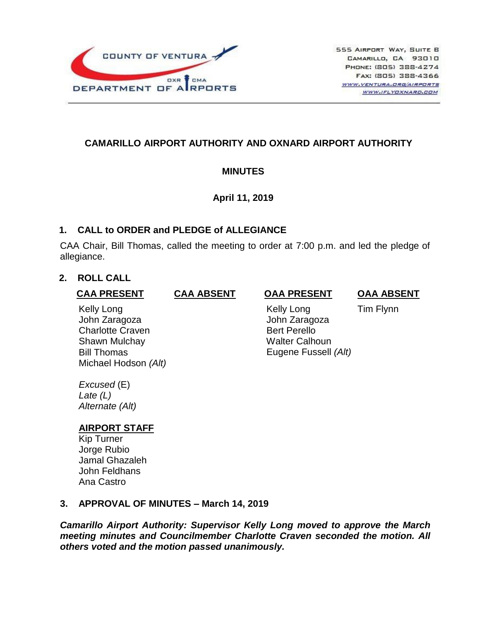

## **CAMARILLO AIRPORT AUTHORITY AND OXNARD AIRPORT AUTHORITY**

### **MINUTES**

### **April 11, 2019**

### **1. CALL to ORDER and PLEDGE of ALLEGIANCE**

CAA Chair, Bill Thomas, called the meeting to order at 7:00 p.m. and led the pledge of allegiance.

# **2. ROLL CALL**

#### **CAA PRESENT**

### **CAA ABSENT OAA PRESENT**

**OAA ABSENT**

Kelly Long John Zaragoza Charlotte Craven Shawn Mulchay Bill Thomas Michael Hodson *(Alt)*

 Kelly Long John Zaragoza Bert Perello Walter Calhoun Eugene Fussell *(Alt)* Tim Flynn

*Excused* (E) *Late (L) Alternate (Alt)*

# **AIRPORT STAFF**

Kip Turner Jorge Rubio Jamal Ghazaleh John Feldhans Ana Castro

### **3. APPROVAL OF MINUTES – March 14, 2019**

*Camarillo Airport Authority: Supervisor Kelly Long moved to approve the March meeting minutes and Councilmember Charlotte Craven seconded the motion. All others voted and the motion passed unanimously.*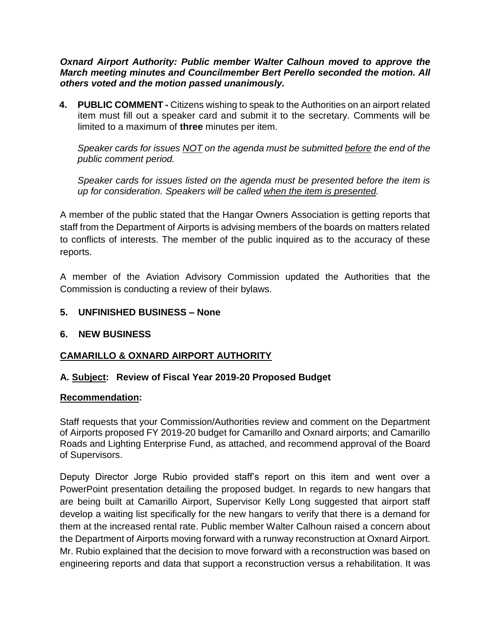*Oxnard Airport Authority: Public member Walter Calhoun moved to approve the March meeting minutes and Councilmember Bert Perello seconded the motion. All others voted and the motion passed unanimously.*

**4. PUBLIC COMMENT -** Citizens wishing to speak to the Authorities on an airport related item must fill out a speaker card and submit it to the secretary. Comments will be limited to a maximum of **three** minutes per item.

*Speaker cards for issues NOT on the agenda must be submitted before the end of the public comment period.* 

*Speaker cards for issues listed on the agenda must be presented before the item is up for consideration. Speakers will be called when the item is presented.*

A member of the public stated that the Hangar Owners Association is getting reports that staff from the Department of Airports is advising members of the boards on matters related to conflicts of interests. The member of the public inquired as to the accuracy of these reports.

A member of the Aviation Advisory Commission updated the Authorities that the Commission is conducting a review of their bylaws.

### **5. UNFINISHED BUSINESS – None**

#### **6. NEW BUSINESS**

### **CAMARILLO & OXNARD AIRPORT AUTHORITY**

#### **A. Subject: Review of Fiscal Year 2019-20 Proposed Budget**

#### **Recommendation:**

Staff requests that your Commission/Authorities review and comment on the Department of Airports proposed FY 2019-20 budget for Camarillo and Oxnard airports; and Camarillo Roads and Lighting Enterprise Fund, as attached, and recommend approval of the Board of Supervisors.

Deputy Director Jorge Rubio provided staff's report on this item and went over a PowerPoint presentation detailing the proposed budget. In regards to new hangars that are being built at Camarillo Airport, Supervisor Kelly Long suggested that airport staff develop a waiting list specifically for the new hangars to verify that there is a demand for them at the increased rental rate. Public member Walter Calhoun raised a concern about the Department of Airports moving forward with a runway reconstruction at Oxnard Airport. Mr. Rubio explained that the decision to move forward with a reconstruction was based on engineering reports and data that support a reconstruction versus a rehabilitation. It was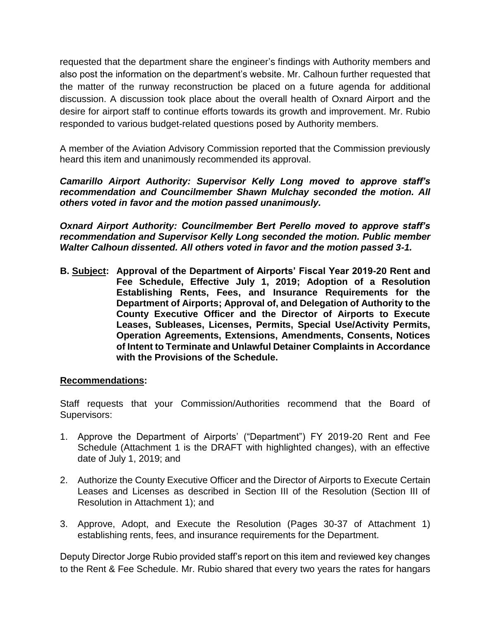requested that the department share the engineer's findings with Authority members and also post the information on the department's website. Mr. Calhoun further requested that the matter of the runway reconstruction be placed on a future agenda for additional discussion. A discussion took place about the overall health of Oxnard Airport and the desire for airport staff to continue efforts towards its growth and improvement. Mr. Rubio responded to various budget-related questions posed by Authority members.

A member of the Aviation Advisory Commission reported that the Commission previously heard this item and unanimously recommended its approval.

*Camarillo Airport Authority: Supervisor Kelly Long moved to approve staff's recommendation and Councilmember Shawn Mulchay seconded the motion. All others voted in favor and the motion passed unanimously.*

*Oxnard Airport Authority: Councilmember Bert Perello moved to approve staff's recommendation and Supervisor Kelly Long seconded the motion. Public member Walter Calhoun dissented. All others voted in favor and the motion passed 3-1.* 

**B. Subject: Approval of the Department of Airports' Fiscal Year 2019-20 Rent and Fee Schedule, Effective July 1, 2019; Adoption of a Resolution Establishing Rents, Fees, and Insurance Requirements for the Department of Airports; Approval of, and Delegation of Authority to the County Executive Officer and the Director of Airports to Execute Leases, Subleases, Licenses, Permits, Special Use/Activity Permits, Operation Agreements, Extensions, Amendments, Consents, Notices of Intent to Terminate and Unlawful Detainer Complaints in Accordance with the Provisions of the Schedule.**

#### **Recommendations:**

Staff requests that your Commission/Authorities recommend that the Board of Supervisors:

- 1. Approve the Department of Airports' ("Department") FY 2019-20 Rent and Fee Schedule (Attachment 1 is the DRAFT with highlighted changes), with an effective date of July 1, 2019; and
- 2. Authorize the County Executive Officer and the Director of Airports to Execute Certain Leases and Licenses as described in Section III of the Resolution (Section III of Resolution in Attachment 1); and
- 3. Approve, Adopt, and Execute the Resolution (Pages 30-37 of Attachment 1) establishing rents, fees, and insurance requirements for the Department.

Deputy Director Jorge Rubio provided staff's report on this item and reviewed key changes to the Rent & Fee Schedule. Mr. Rubio shared that every two years the rates for hangars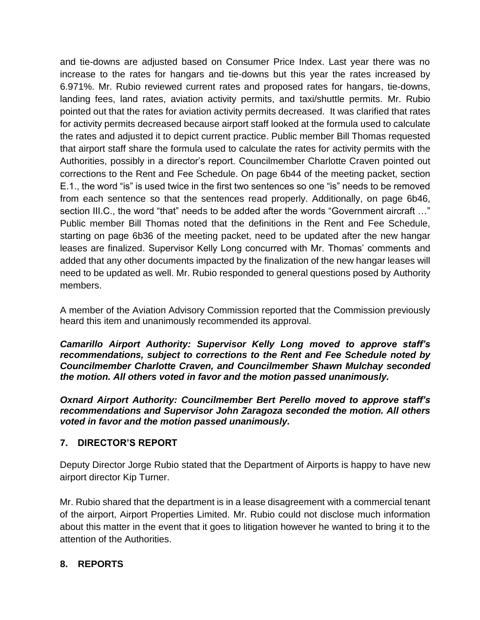and tie-downs are adjusted based on Consumer Price Index. Last year there was no increase to the rates for hangars and tie-downs but this year the rates increased by 6.971%. Mr. Rubio reviewed current rates and proposed rates for hangars, tie-downs, landing fees, land rates, aviation activity permits, and taxi/shuttle permits. Mr. Rubio pointed out that the rates for aviation activity permits decreased. It was clarified that rates for activity permits decreased because airport staff looked at the formula used to calculate the rates and adjusted it to depict current practice. Public member Bill Thomas requested that airport staff share the formula used to calculate the rates for activity permits with the Authorities, possibly in a director's report. Councilmember Charlotte Craven pointed out corrections to the Rent and Fee Schedule. On page 6b44 of the meeting packet, section E.1., the word "is" is used twice in the first two sentences so one "is" needs to be removed from each sentence so that the sentences read properly. Additionally, on page 6b46, section III.C., the word "that" needs to be added after the words "Government aircraft …" Public member Bill Thomas noted that the definitions in the Rent and Fee Schedule, starting on page 6b36 of the meeting packet, need to be updated after the new hangar leases are finalized. Supervisor Kelly Long concurred with Mr. Thomas' comments and added that any other documents impacted by the finalization of the new hangar leases will need to be updated as well. Mr. Rubio responded to general questions posed by Authority members.

A member of the Aviation Advisory Commission reported that the Commission previously heard this item and unanimously recommended its approval.

*Camarillo Airport Authority: Supervisor Kelly Long moved to approve staff's recommendations, subject to corrections to the Rent and Fee Schedule noted by Councilmember Charlotte Craven, and Councilmember Shawn Mulchay seconded the motion. All others voted in favor and the motion passed unanimously.*

*Oxnard Airport Authority: Councilmember Bert Perello moved to approve staff's recommendations and Supervisor John Zaragoza seconded the motion. All others voted in favor and the motion passed unanimously.*

### **7. DIRECTOR'S REPORT**

Deputy Director Jorge Rubio stated that the Department of Airports is happy to have new airport director Kip Turner.

Mr. Rubio shared that the department is in a lease disagreement with a commercial tenant of the airport, Airport Properties Limited. Mr. Rubio could not disclose much information about this matter in the event that it goes to litigation however he wanted to bring it to the attention of the Authorities.

### **8. REPORTS**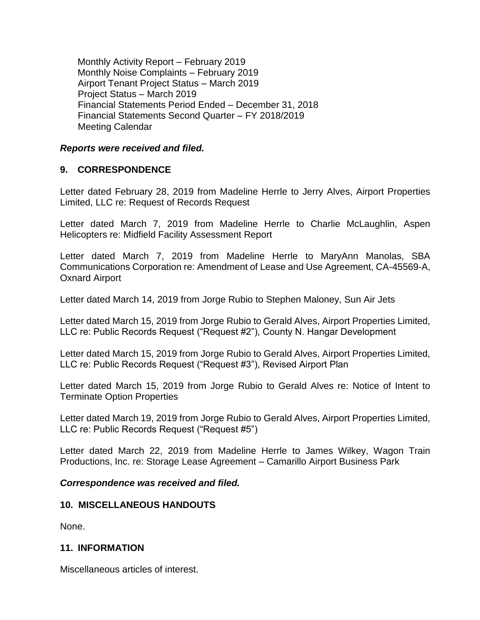Monthly Activity Report – February 2019 Monthly Noise Complaints – February 2019 Airport Tenant Project Status – March 2019 Project Status – March 2019 Financial Statements Period Ended – December 31, 2018 Financial Statements Second Quarter – FY 2018/2019 Meeting Calendar

#### *Reports were received and filed.*

### **9. CORRESPONDENCE**

Letter dated February 28, 2019 from Madeline Herrle to Jerry Alves, Airport Properties Limited, LLC re: Request of Records Request

Letter dated March 7, 2019 from Madeline Herrle to Charlie McLaughlin, Aspen Helicopters re: Midfield Facility Assessment Report

Letter dated March 7, 2019 from Madeline Herrle to MaryAnn Manolas, SBA Communications Corporation re: Amendment of Lease and Use Agreement, CA-45569-A, Oxnard Airport

Letter dated March 14, 2019 from Jorge Rubio to Stephen Maloney, Sun Air Jets

Letter dated March 15, 2019 from Jorge Rubio to Gerald Alves, Airport Properties Limited, LLC re: Public Records Request ("Request #2"), County N. Hangar Development

Letter dated March 15, 2019 from Jorge Rubio to Gerald Alves, Airport Properties Limited, LLC re: Public Records Request ("Request #3"), Revised Airport Plan

Letter dated March 15, 2019 from Jorge Rubio to Gerald Alves re: Notice of Intent to Terminate Option Properties

Letter dated March 19, 2019 from Jorge Rubio to Gerald Alves, Airport Properties Limited, LLC re: Public Records Request ("Request #5")

Letter dated March 22, 2019 from Madeline Herrle to James Wilkey, Wagon Train Productions, Inc. re: Storage Lease Agreement – Camarillo Airport Business Park

#### *Correspondence was received and filed.*

#### **10. MISCELLANEOUS HANDOUTS**

None.

#### **11. INFORMATION**

Miscellaneous articles of interest.